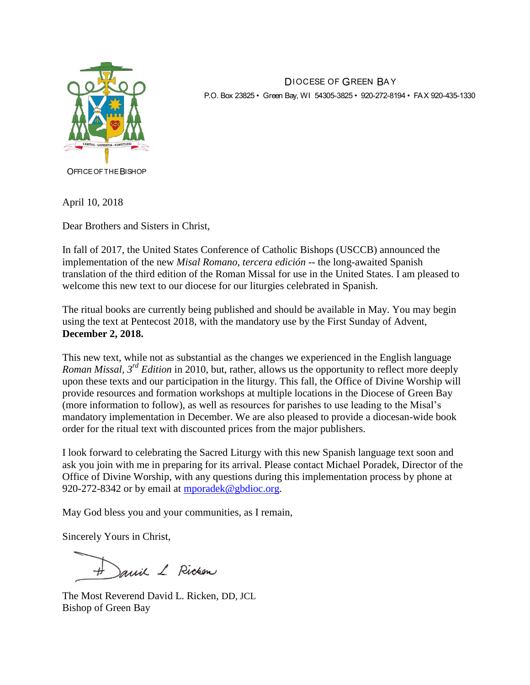

DIOCESE OF GREEN BA Y P.O. Box 23825 • Green Bay, WI 54305-3825 • 920-272-8194 • FAX 920-435-1330

OFFICE OF THE BISHOP

April 10, 2018

Dear Brothers and Sisters in Christ,

In fall of 2017, the United States Conference of Catholic Bishops (USCCB) announced the implementation of the new *Misal Romano, tercera edición* -- the long-awaited Spanish translation of the third edition of the Roman Missal for use in the United States. I am pleased to welcome this new text to our diocese for our liturgies celebrated in Spanish.

The ritual books are currently being published and should be available in May. You may begin using the text at Pentecost 2018, with the mandatory use by the First Sunday of Advent, **December 2, 2018.**

This new text, while not as substantial as the changes we experienced in the English language *Roman Missal, 3rd Edition* in 2010, but, rather, allows us the opportunity to reflect more deeply upon these texts and our participation in the liturgy. This fall, the Office of Divine Worship will provide resources and formation workshops at multiple locations in the Diocese of Green Bay (more information to follow), as well as resources for parishes to use leading to the Misal's mandatory implementation in December. We are also pleased to provide a diocesan-wide book order for the ritual text with discounted prices from the major publishers.

I look forward to celebrating the Sacred Liturgy with this new Spanish language text soon and ask you join with me in preparing for its arrival. Please contact Michael Poradek, Director of the Office of Divine Worship, with any questions during this implementation process by phone at 920-272-8342 or by email at [mporadek@gbdioc.org.](mailto:mporadek@gbdioc.org)

May God bless you and your communities, as I remain,

Sincerely Yours in Christ,

Janie L. Ricken

The Most Reverend David L. Ricken, DD, JCL Bishop of Green Bay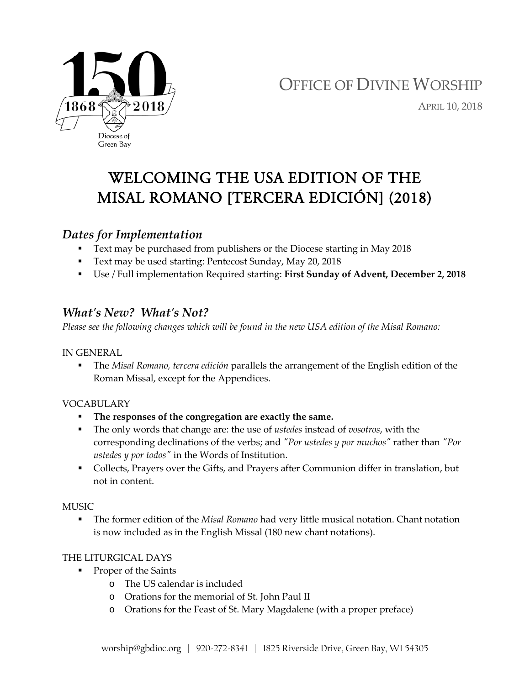

# OFFICE OF DIVINE WORSHIP

APRIL 10, 2018

## WELCOMING THE USA EDITION OF THE MISAL ROMANO [TERCERA EDICIÓN] (2018)

## *Dates for Implementation*

- Text may be purchased from publishers or the Diocese starting in May 2018
- Text may be used starting: Pentecost Sunday, May 20, 2018
- Use / Full implementation Required starting: **First Sunday of Advent, December 2, 2018**

### *What's New? What's Not?*

*Please see the following changes which will be found in the new USA edition of the Misal Romano:*

IN GENERAL

 The *Misal Romano, tercera edición* parallels the arrangement of the English edition of the Roman Missal, except for the Appendices.

#### VOCABULARY

- **The responses of the congregation are exactly the same.**
- The only words that change are: the use of *ustedes* instead of *vosotros*, with the corresponding declinations of the verbs; and *"Por ustedes y por muchos"* rather than *"Por ustedes y por todos"* in the Words of Institution.
- Collects, Prayers over the Gifts, and Prayers after Communion differ in translation, but not in content.

#### **MUSIC**

 The former edition of the *Misal Romano* had very little musical notation. Chant notation is now included as in the English Missal (180 new chant notations).

#### THE LITURGICAL DAYS

- **Proper of the Saints** 
	- o The US calendar is included
	- o Orations for the memorial of St. John Paul II
	- o Orations for the Feast of St. Mary Magdalene (with a proper preface)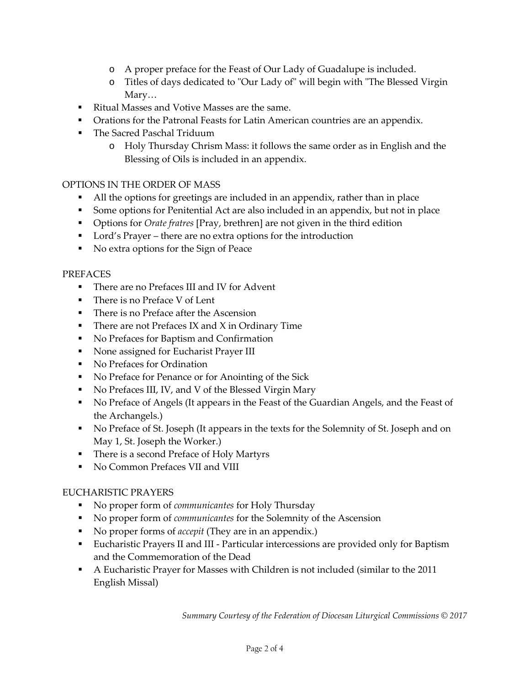- o A proper preface for the Feast of Our Lady of Guadalupe is included.
- o Titles of days dedicated to "Our Lady of" will begin with "The Blessed Virgin Mary…
- Ritual Masses and Votive Masses are the same.
- **•** Orations for the Patronal Feasts for Latin American countries are an appendix.
- **The Sacred Paschal Triduum** 
	- o Holy Thursday Chrism Mass: it follows the same order as in English and the Blessing of Oils is included in an appendix.

#### OPTIONS IN THE ORDER OF MASS

- All the options for greetings are included in an appendix, rather than in place
- Some options for Penitential Act are also included in an appendix, but not in place
- Options for *Orate fratres* [Pray, brethren] are not given in the third edition
- Lord's Prayer there are no extra options for the introduction
- No extra options for the Sign of Peace

#### PREFACES

- There are no Prefaces III and IV for Advent
- There is no Preface V of Lent
- **There is no Preface after the Ascension**
- $\blacksquare$  There are not Prefaces IX and X in Ordinary Time
- No Prefaces for Baptism and Confirmation
- None assigned for Eucharist Prayer III
- No Prefaces for Ordination
- No Preface for Penance or for Anointing of the Sick
- No Prefaces III, IV, and V of the Blessed Virgin Mary
- No Preface of Angels (It appears in the Feast of the Guardian Angels, and the Feast of the Archangels.)
- No Preface of St. Joseph (It appears in the texts for the Solemnity of St. Joseph and on May 1, St. Joseph the Worker.)
- There is a second Preface of Holy Martyrs
- No Common Prefaces VII and VIII

#### EUCHARISTIC PRAYERS

- No proper form of *communicantes* for Holy Thursday
- No proper form of *communicantes* for the Solemnity of the Ascension
- No proper forms of *accepit* (They are in an appendix.)
- Eucharistic Prayers II and III Particular intercessions are provided only for Baptism and the Commemoration of the Dead
- A Eucharistic Prayer for Masses with Children is not included (similar to the 2011 English Missal)

*Summary Courtesy of the Federation of Diocesan Liturgical Commissions © 2017*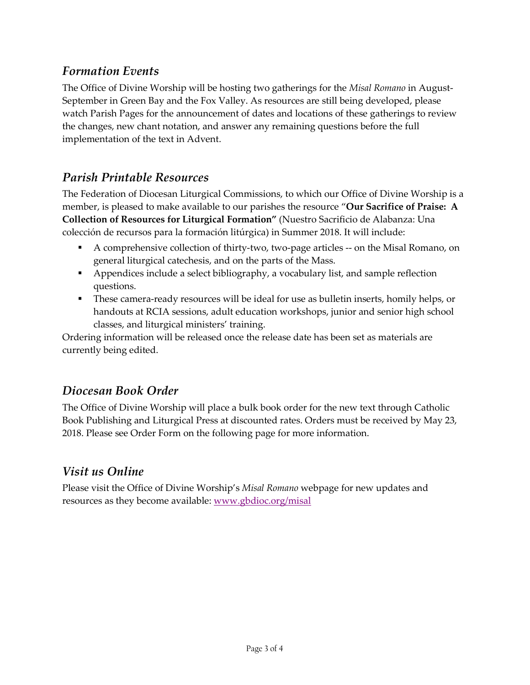## *Formation Events*

The Office of Divine Worship will be hosting two gatherings for the *Misal Romano* in August-September in Green Bay and the Fox Valley. As resources are still being developed, please watch Parish Pages for the announcement of dates and locations of these gatherings to review the changes, new chant notation, and answer any remaining questions before the full implementation of the text in Advent.

## *Parish Printable Resources*

The Federation of Diocesan Liturgical Commissions, to which our Office of Divine Worship is a member, is pleased to make available to our parishes the resource "**Our Sacrifice of Praise: A Collection of Resources for Liturgical Formation"** (Nuestro Sacrificio de Alabanza: Una colección de recursos para la formación litúrgica) in Summer 2018. It will include:

- A comprehensive collection of thirty-two, two-page articles -- on the Misal Romano, on general liturgical catechesis, and on the parts of the Mass.
- Appendices include a select bibliography, a vocabulary list, and sample reflection questions.
- These camera-ready resources will be ideal for use as bulletin inserts, homily helps, or handouts at RCIA sessions, adult education workshops, junior and senior high school classes, and liturgical ministers' training.

Ordering information will be released once the release date has been set as materials are currently being edited.

## *Diocesan Book Order*

The Office of Divine Worship will place a bulk book order for the new text through Catholic Book Publishing and Liturgical Press at discounted rates. Orders must be received by May 23, 2018. Please see Order Form on the following page for more information.

## *Visit us Online*

Please visit the Office of Divine Worship's *Misal Romano* webpage for new updates and resources as they become available: [www.gbdioc.org/misal](http://www.gbdioc.org/misal)